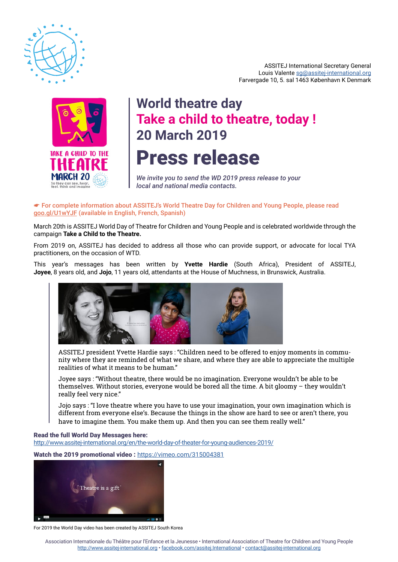

ASSITEJ International Secretary General Louis Valente [sg@assitej-international.org](mailto:sg%40assitej-international.org?subject=) Farvergade 10, 5. sal 1463 København K Denmark



# Press release **World theatre day Take a child to theatre, today ! 20 March 2019**

*We invite you to send the WD 2019 press release to your local and national media contacts.*

## ☛ For complete information about ASSITEJ's World Theatre Day for Children and Young People, please read goo.gl/U1wYJF (available in English, French, Spanish)

March 20th is ASSITEJ World Day of Theatre for Children and Young People and is celebrated worldwide through the campaign **Take a Child to the Theatre.**

From 2019 on, ASSITEJ has decided to address all those who can provide support, or advocate for local TYA practitioners, on the occasion of WTD.

This year's messages has been written by **Yvette Hardie** (South Africa), President of ASSITEJ, **Joyee**, 8 years old, and **Jojo**, 11 years old, attendants at the House of Muchness, in Brunswick, Australia.



ASSITEJ president Yvette Hardie says : "Children need to be offered to enjoy moments in community where they are reminded of what we share, and where they are able to appreciate the multiple realities of what it means to be human."

Joyee says : "Without theatre, there would be no imagination. Everyone wouldn't be able to be themselves. Without stories, everyone would be bored all the time. A bit gloomy – they wouldn't really feel very nice."

Jojo says : "I love theatre where you have to use your imagination, your own imagination which is different from everyone else's. Because the things in the show are hard to see or aren't there, you have to imagine them. You make them up. And then you can see them really well."

### Read the full World Day Messages here:

<http://www.assitej-international.org/en/the-world-day-of-theater-for-young-audiences-2019/>

Watch the 2019 promotional video : <https://vimeo.com/315004381>



For 2019 the World Day video has been created by ASSITEJ South Korea